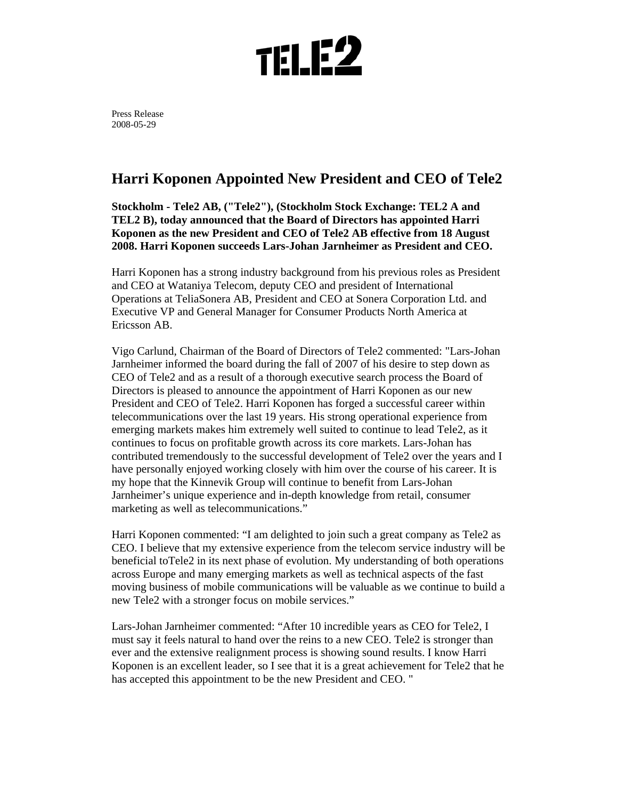

Press Release 2008-05-29

## **Harri Koponen Appointed New President and CEO of Tele2**

**Stockholm - Tele2 AB, ("Tele2"), (Stockholm Stock Exchange: TEL2 A and TEL2 B), today announced that the Board of Directors has appointed Harri Koponen as the new President and CEO of Tele2 AB effective from 18 August 2008. Harri Koponen succeeds Lars-Johan Jarnheimer as President and CEO.** 

Harri Koponen has a strong industry background from his previous roles as President and CEO at Wataniya Telecom, deputy CEO and president of International Operations at TeliaSonera AB, President and CEO at Sonera Corporation Ltd. and Executive VP and General Manager for Consumer Products North America at Ericsson AB.

Vigo Carlund, Chairman of the Board of Directors of Tele2 commented: "Lars-Johan Jarnheimer informed the board during the fall of 2007 of his desire to step down as CEO of Tele2 and as a result of a thorough executive search process the Board of Directors is pleased to announce the appointment of Harri Koponen as our new President and CEO of Tele2. Harri Koponen has forged a successful career within telecommunications over the last 19 years. His strong operational experience from emerging markets makes him extremely well suited to continue to lead Tele2, as it continues to focus on profitable growth across its core markets. Lars-Johan has contributed tremendously to the successful development of Tele2 over the years and I have personally enjoyed working closely with him over the course of his career. It is my hope that the Kinnevik Group will continue to benefit from Lars-Johan Jarnheimer's unique experience and in-depth knowledge from retail, consumer marketing as well as telecommunications."

Harri Koponen commented: "I am delighted to join such a great company as Tele2 as CEO. I believe that my extensive experience from the telecom service industry will be beneficial toTele2 in its next phase of evolution. My understanding of both operations across Europe and many emerging markets as well as technical aspects of the fast moving business of mobile communications will be valuable as we continue to build a new Tele2 with a stronger focus on mobile services."

Lars-Johan Jarnheimer commented: "After 10 incredible years as CEO for Tele2, I must say it feels natural to hand over the reins to a new CEO. Tele2 is stronger than ever and the extensive realignment process is showing sound results. I know Harri Koponen is an excellent leader, so I see that it is a great achievement for Tele2 that he has accepted this appointment to be the new President and CEO. "